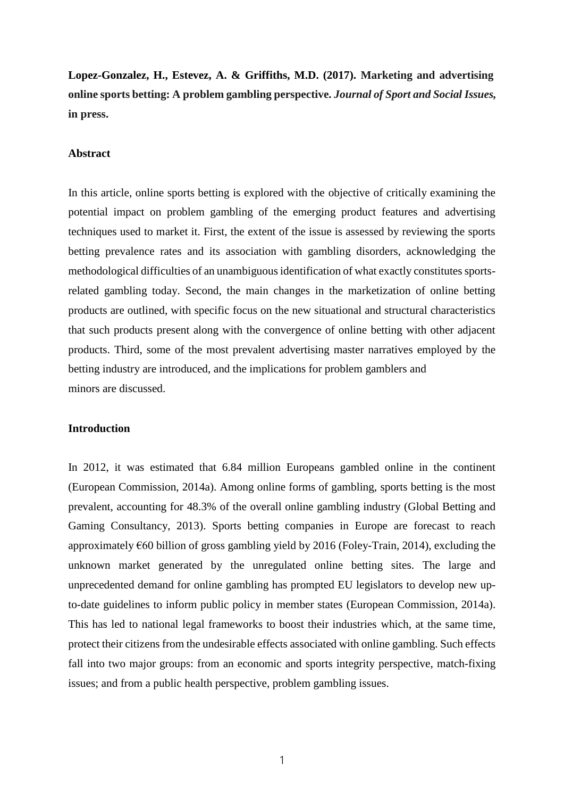**Lopez-Gonzalez, H., Estevez, A. & Griffiths, M.D. (2017). Marketing and advertising online sports betting: A problem gambling perspective.** *Journal of Sport and Social Issues,* **in press.**

#### **Abstract**

In this article, online sports betting is explored with the objective of critically examining the potential impact on problem gambling of the emerging product features and advertising techniques used to market it. First, the extent of the issue is assessed by reviewing the sports betting prevalence rates and its association with gambling disorders, acknowledging the methodological difficulties of an unambiguous identification of what exactly constitutes sportsrelated gambling today. Second, the main changes in the marketization of online betting products are outlined, with specific focus on the new situational and structural characteristics that such products present along with the convergence of online betting with other adjacent products. Third, some of the most prevalent advertising master narratives employed by the betting industry are introduced, and the implications for problem gamblers and minors are discussed.

#### **Introduction**

In 2012, it was estimated that 6.84 million Europeans gambled online in the continent (European Commission, 2014a). Among online forms of gambling, sports betting is the most prevalent, accounting for 48.3% of the overall online gambling industry (Global Betting and Gaming Consultancy, 2013). Sports betting companies in Europe are forecast to reach approximately  $\epsilon$ 60 billion of gross gambling yield by 2016 (Foley-Train, 2014), excluding the unknown market generated by the unregulated online betting sites. The large and unprecedented demand for online gambling has prompted EU legislators to develop new upto-date guidelines to inform public policy in member states (European Commission, 2014a). This has led to national legal frameworks to boost their industries which, at the same time, protect their citizens from the undesirable effects associated with online gambling. Such effects fall into two major groups: from an economic and sports integrity perspective, match-fixing issues; and from a public health perspective, problem gambling issues.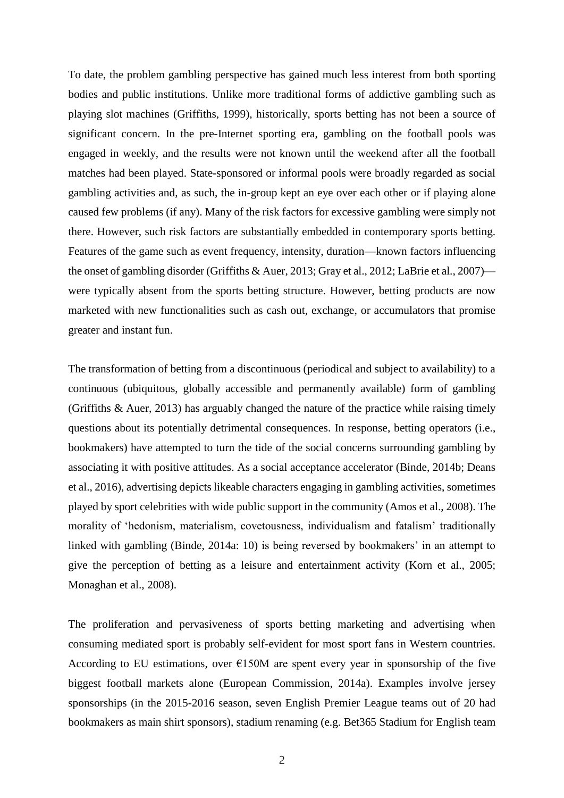To date, the problem gambling perspective has gained much less interest from both sporting bodies and public institutions. Unlike more traditional forms of addictive gambling such as playing slot machines (Griffiths, 1999), historically, sports betting has not been a source of significant concern. In the pre-Internet sporting era, gambling on the football pools was engaged in weekly, and the results were not known until the weekend after all the football matches had been played. State-sponsored or informal pools were broadly regarded as social gambling activities and, as such, the in-group kept an eye over each other or if playing alone caused few problems (if any). Many of the risk factors for excessive gambling were simply not there. However, such risk factors are substantially embedded in contemporary sports betting. Features of the game such as event frequency, intensity, duration—known factors influencing the onset of gambling disorder (Griffiths & Auer, 2013; Gray et al., 2012; LaBrie et al., 2007) were typically absent from the sports betting structure. However, betting products are now marketed with new functionalities such as cash out, exchange, or accumulators that promise greater and instant fun.

The transformation of betting from a discontinuous (periodical and subject to availability) to a continuous (ubiquitous, globally accessible and permanently available) form of gambling (Griffiths & Auer, 2013) has arguably changed the nature of the practice while raising timely questions about its potentially detrimental consequences. In response, betting operators (i.e., bookmakers) have attempted to turn the tide of the social concerns surrounding gambling by associating it with positive attitudes. As a social acceptance accelerator (Binde, 2014b; Deans et al., 2016), advertising depicts likeable characters engaging in gambling activities, sometimes played by sport celebrities with wide public support in the community (Amos et al., 2008). The morality of 'hedonism, materialism, covetousness, individualism and fatalism' traditionally linked with gambling (Binde, 2014a: 10) is being reversed by bookmakers' in an attempt to give the perception of betting as a leisure and entertainment activity (Korn et al., 2005; Monaghan et al., 2008).

The proliferation and pervasiveness of sports betting marketing and advertising when consuming mediated sport is probably self-evident for most sport fans in Western countries. According to EU estimations, over  $E150M$  are spent every year in sponsorship of the five biggest football markets alone (European Commission, 2014a). Examples involve jersey sponsorships (in the 2015-2016 season, seven English Premier League teams out of 20 had bookmakers as main shirt sponsors), stadium renaming (e.g. Bet365 Stadium for English team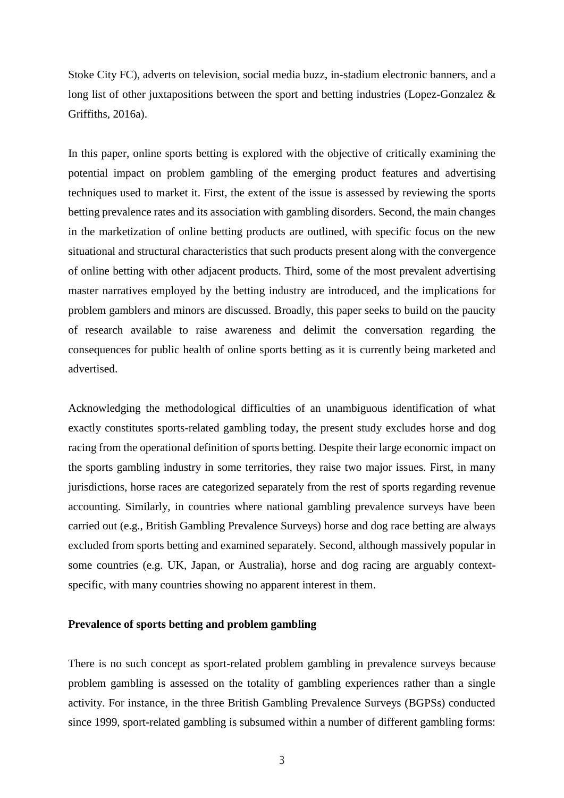Stoke City FC), adverts on television, social media buzz, in-stadium electronic banners, and a long list of other juxtapositions between the sport and betting industries (Lopez-Gonzalez & Griffiths, 2016a).

In this paper, online sports betting is explored with the objective of critically examining the potential impact on problem gambling of the emerging product features and advertising techniques used to market it. First, the extent of the issue is assessed by reviewing the sports betting prevalence rates and its association with gambling disorders. Second, the main changes in the marketization of online betting products are outlined, with specific focus on the new situational and structural characteristics that such products present along with the convergence of online betting with other adjacent products. Third, some of the most prevalent advertising master narratives employed by the betting industry are introduced, and the implications for problem gamblers and minors are discussed. Broadly, this paper seeks to build on the paucity of research available to raise awareness and delimit the conversation regarding the consequences for public health of online sports betting as it is currently being marketed and advertised.

Acknowledging the methodological difficulties of an unambiguous identification of what exactly constitutes sports-related gambling today, the present study excludes horse and dog racing from the operational definition of sports betting. Despite their large economic impact on the sports gambling industry in some territories, they raise two major issues. First, in many jurisdictions, horse races are categorized separately from the rest of sports regarding revenue accounting. Similarly, in countries where national gambling prevalence surveys have been carried out (e.g., British Gambling Prevalence Surveys) horse and dog race betting are always excluded from sports betting and examined separately. Second, although massively popular in some countries (e.g. UK, Japan, or Australia), horse and dog racing are arguably contextspecific, with many countries showing no apparent interest in them.

## **Prevalence of sports betting and problem gambling**

There is no such concept as sport-related problem gambling in prevalence surveys because problem gambling is assessed on the totality of gambling experiences rather than a single activity. For instance, in the three British Gambling Prevalence Surveys (BGPSs) conducted since 1999, sport-related gambling is subsumed within a number of different gambling forms: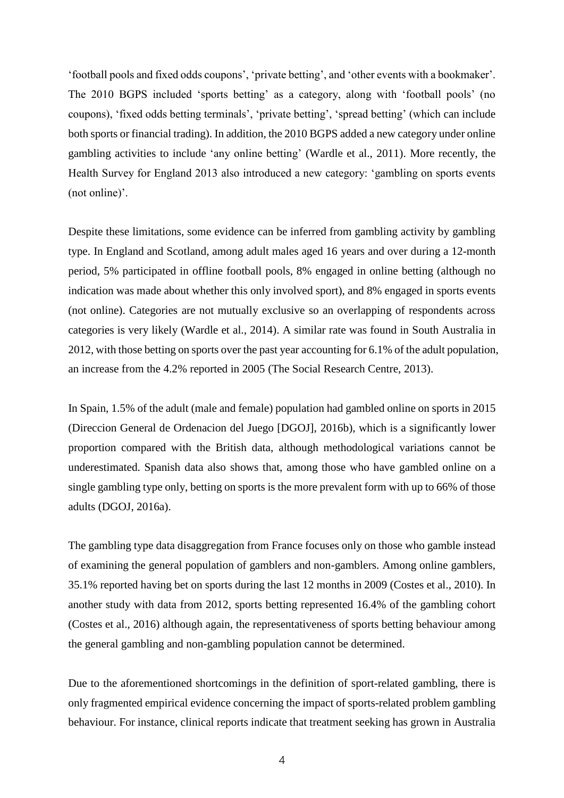'football pools and fixed odds coupons', 'private betting', and 'other events with a bookmaker'. The 2010 BGPS included 'sports betting' as a category, along with 'football pools' (no coupons), 'fixed odds betting terminals', 'private betting', 'spread betting' (which can include both sports or financial trading). In addition, the 2010 BGPS added a new category under online gambling activities to include 'any online betting' (Wardle et al., 2011). More recently, the Health Survey for England 2013 also introduced a new category: 'gambling on sports events (not online)'.

Despite these limitations, some evidence can be inferred from gambling activity by gambling type. In England and Scotland, among adult males aged 16 years and over during a 12-month period, 5% participated in offline football pools, 8% engaged in online betting (although no indication was made about whether this only involved sport), and 8% engaged in sports events (not online). Categories are not mutually exclusive so an overlapping of respondents across categories is very likely (Wardle et al., 2014). A similar rate was found in South Australia in 2012, with those betting on sports over the past year accounting for 6.1% of the adult population, an increase from the 4.2% reported in 2005 (The Social Research Centre, 2013).

In Spain, 1.5% of the adult (male and female) population had gambled online on sports in 2015 (Direccion General de Ordenacion del Juego [DGOJ], 2016b), which is a significantly lower proportion compared with the British data, although methodological variations cannot be underestimated. Spanish data also shows that, among those who have gambled online on a single gambling type only, betting on sports is the more prevalent form with up to 66% of those adults (DGOJ, 2016a).

The gambling type data disaggregation from France focuses only on those who gamble instead of examining the general population of gamblers and non-gamblers. Among online gamblers, 35.1% reported having bet on sports during the last 12 months in 2009 (Costes et al., 2010). In another study with data from 2012, sports betting represented 16.4% of the gambling cohort (Costes et al., 2016) although again, the representativeness of sports betting behaviour among the general gambling and non-gambling population cannot be determined.

Due to the aforementioned shortcomings in the definition of sport-related gambling, there is only fragmented empirical evidence concerning the impact of sports-related problem gambling behaviour. For instance, clinical reports indicate that treatment seeking has grown in Australia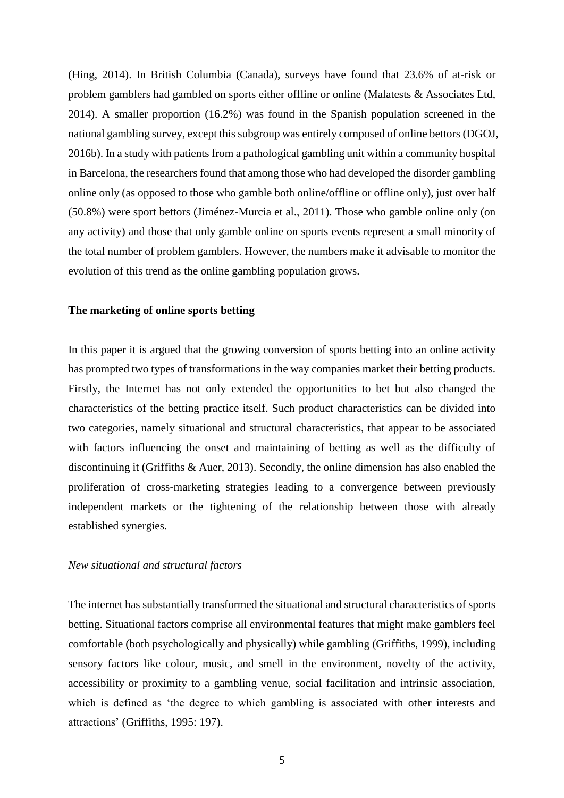(Hing, 2014). In British Columbia (Canada), surveys have found that 23.6% of at-risk or problem gamblers had gambled on sports either offline or online (Malatests & Associates Ltd, 2014). A smaller proportion (16.2%) was found in the Spanish population screened in the national gambling survey, except this subgroup was entirely composed of online bettors (DGOJ, 2016b). In a study with patients from a pathological gambling unit within a community hospital in Barcelona, the researchers found that among those who had developed the disorder gambling online only (as opposed to those who gamble both online/offline or offline only), just over half (50.8%) were sport bettors (Jiménez-Murcia et al., 2011). Those who gamble online only (on any activity) and those that only gamble online on sports events represent a small minority of the total number of problem gamblers. However, the numbers make it advisable to monitor the evolution of this trend as the online gambling population grows.

### **The marketing of online sports betting**

In this paper it is argued that the growing conversion of sports betting into an online activity has prompted two types of transformations in the way companies market their betting products. Firstly, the Internet has not only extended the opportunities to bet but also changed the characteristics of the betting practice itself. Such product characteristics can be divided into two categories, namely situational and structural characteristics, that appear to be associated with factors influencing the onset and maintaining of betting as well as the difficulty of discontinuing it (Griffiths & Auer, 2013). Secondly, the online dimension has also enabled the proliferation of cross-marketing strategies leading to a convergence between previously independent markets or the tightening of the relationship between those with already established synergies.

## *New situational and structural factors*

The internet has substantially transformed the situational and structural characteristics of sports betting. Situational factors comprise all environmental features that might make gamblers feel comfortable (both psychologically and physically) while gambling (Griffiths, 1999), including sensory factors like colour, music, and smell in the environment, novelty of the activity, accessibility or proximity to a gambling venue, social facilitation and intrinsic association, which is defined as 'the degree to which gambling is associated with other interests and attractions' (Griffiths, 1995: 197).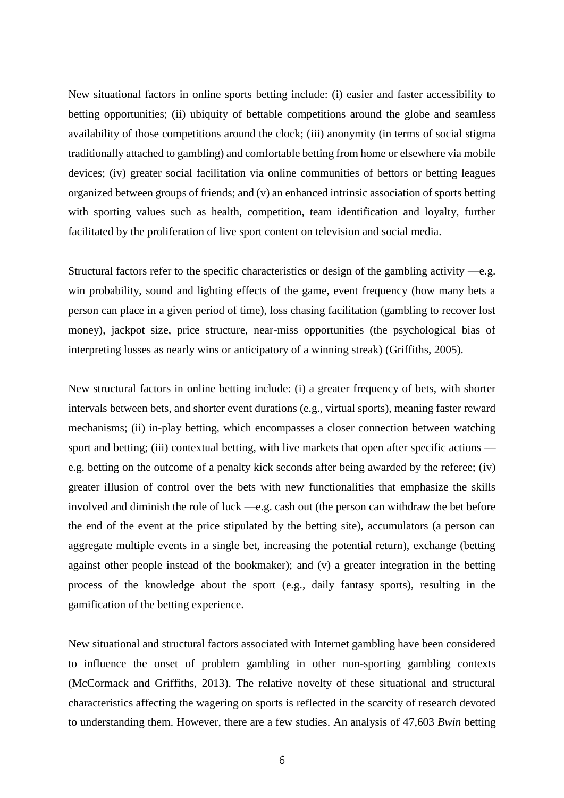New situational factors in online sports betting include: (i) easier and faster accessibility to betting opportunities; (ii) ubiquity of bettable competitions around the globe and seamless availability of those competitions around the clock; (iii) anonymity (in terms of social stigma traditionally attached to gambling) and comfortable betting from home or elsewhere via mobile devices; (iv) greater social facilitation via online communities of bettors or betting leagues organized between groups of friends; and (v) an enhanced intrinsic association of sports betting with sporting values such as health, competition, team identification and loyalty, further facilitated by the proliferation of live sport content on television and social media.

Structural factors refer to the specific characteristics or design of the gambling activity —e.g. win probability, sound and lighting effects of the game, event frequency (how many bets a person can place in a given period of time), loss chasing facilitation (gambling to recover lost money), jackpot size, price structure, near-miss opportunities (the psychological bias of interpreting losses as nearly wins or anticipatory of a winning streak) (Griffiths, 2005).

New structural factors in online betting include: (i) a greater frequency of bets, with shorter intervals between bets, and shorter event durations (e.g., virtual sports), meaning faster reward mechanisms; (ii) in-play betting, which encompasses a closer connection between watching sport and betting; (iii) contextual betting, with live markets that open after specific actions e.g. betting on the outcome of a penalty kick seconds after being awarded by the referee; (iv) greater illusion of control over the bets with new functionalities that emphasize the skills involved and diminish the role of luck —e.g. cash out (the person can withdraw the bet before the end of the event at the price stipulated by the betting site), accumulators (a person can aggregate multiple events in a single bet, increasing the potential return), exchange (betting against other people instead of the bookmaker); and (v) a greater integration in the betting process of the knowledge about the sport (e.g., daily fantasy sports), resulting in the gamification of the betting experience.

New situational and structural factors associated with Internet gambling have been considered to influence the onset of problem gambling in other non-sporting gambling contexts (McCormack and Griffiths, 2013). The relative novelty of these situational and structural characteristics affecting the wagering on sports is reflected in the scarcity of research devoted to understanding them. However, there are a few studies. An analysis of 47,603 *Bwin* betting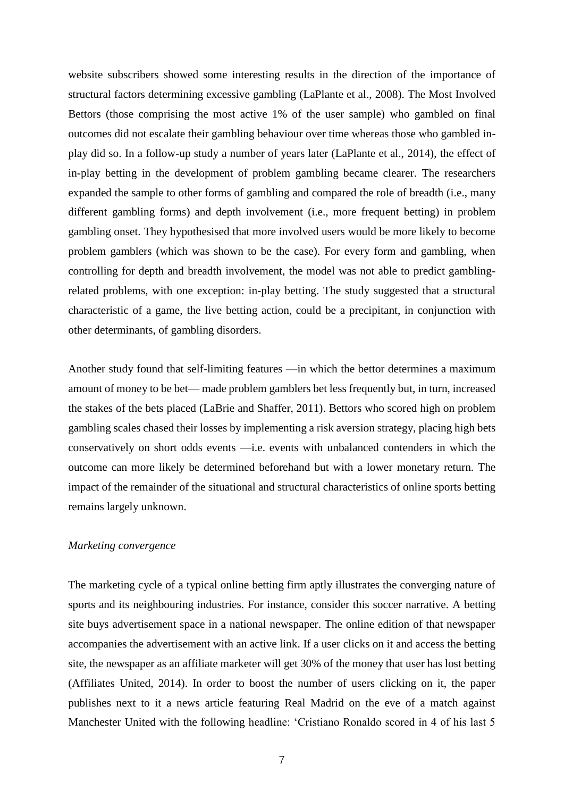website subscribers showed some interesting results in the direction of the importance of structural factors determining excessive gambling (LaPlante et al., 2008). The Most Involved Bettors (those comprising the most active 1% of the user sample) who gambled on final outcomes did not escalate their gambling behaviour over time whereas those who gambled inplay did so. In a follow-up study a number of years later (LaPlante et al., 2014), the effect of in-play betting in the development of problem gambling became clearer. The researchers expanded the sample to other forms of gambling and compared the role of breadth (i.e., many different gambling forms) and depth involvement (i.e., more frequent betting) in problem gambling onset. They hypothesised that more involved users would be more likely to become problem gamblers (which was shown to be the case). For every form and gambling, when controlling for depth and breadth involvement, the model was not able to predict gamblingrelated problems, with one exception: in-play betting. The study suggested that a structural characteristic of a game, the live betting action, could be a precipitant, in conjunction with other determinants, of gambling disorders.

Another study found that self-limiting features —in which the bettor determines a maximum amount of money to be bet— made problem gamblers bet less frequently but, in turn, increased the stakes of the bets placed (LaBrie and Shaffer, 2011). Bettors who scored high on problem gambling scales chased their losses by implementing a risk aversion strategy, placing high bets conservatively on short odds events —i.e. events with unbalanced contenders in which the outcome can more likely be determined beforehand but with a lower monetary return. The impact of the remainder of the situational and structural characteristics of online sports betting remains largely unknown.

### *Marketing convergence*

The marketing cycle of a typical online betting firm aptly illustrates the converging nature of sports and its neighbouring industries. For instance, consider this soccer narrative. A betting site buys advertisement space in a national newspaper. The online edition of that newspaper accompanies the advertisement with an active link. If a user clicks on it and access the betting site, the newspaper as an affiliate marketer will get 30% of the money that user has lost betting (Affiliates United, 2014). In order to boost the number of users clicking on it, the paper publishes next to it a news article featuring Real Madrid on the eve of a match against Manchester United with the following headline: 'Cristiano Ronaldo scored in 4 of his last 5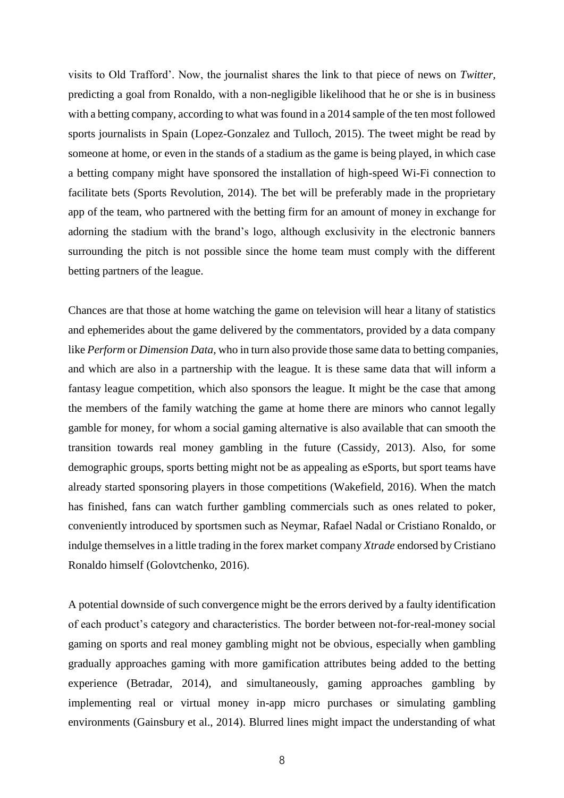visits to Old Trafford'. Now, the journalist shares the link to that piece of news on *Twitter,* predicting a goal from Ronaldo, with a non-negligible likelihood that he or she is in business with a betting company, according to what was found in a 2014 sample of the ten most followed sports journalists in Spain (Lopez-Gonzalez and Tulloch, 2015). The tweet might be read by someone at home, or even in the stands of a stadium as the game is being played, in which case a betting company might have sponsored the installation of high-speed Wi-Fi connection to facilitate bets (Sports Revolution, 2014). The bet will be preferably made in the proprietary app of the team, who partnered with the betting firm for an amount of money in exchange for adorning the stadium with the brand's logo, although exclusivity in the electronic banners surrounding the pitch is not possible since the home team must comply with the different betting partners of the league.

Chances are that those at home watching the game on television will hear a litany of statistics and ephemerides about the game delivered by the commentators, provided by a data company like *Perform* or *Dimension Data*, who in turn also provide those same data to betting companies, and which are also in a partnership with the league. It is these same data that will inform a fantasy league competition, which also sponsors the league. It might be the case that among the members of the family watching the game at home there are minors who cannot legally gamble for money, for whom a social gaming alternative is also available that can smooth the transition towards real money gambling in the future (Cassidy, 2013). Also, for some demographic groups, sports betting might not be as appealing as eSports, but sport teams have already started sponsoring players in those competitions (Wakefield, 2016). When the match has finished, fans can watch further gambling commercials such as ones related to poker, conveniently introduced by sportsmen such as Neymar, Rafael Nadal or Cristiano Ronaldo, or indulge themselves in a little trading in the forex market company *Xtrade* endorsed by Cristiano Ronaldo himself (Golovtchenko, 2016).

A potential downside of such convergence might be the errors derived by a faulty identification of each product's category and characteristics. The border between not-for-real-money social gaming on sports and real money gambling might not be obvious, especially when gambling gradually approaches gaming with more gamification attributes being added to the betting experience (Betradar, 2014), and simultaneously, gaming approaches gambling by implementing real or virtual money in-app micro purchases or simulating gambling environments (Gainsbury et al., 2014). Blurred lines might impact the understanding of what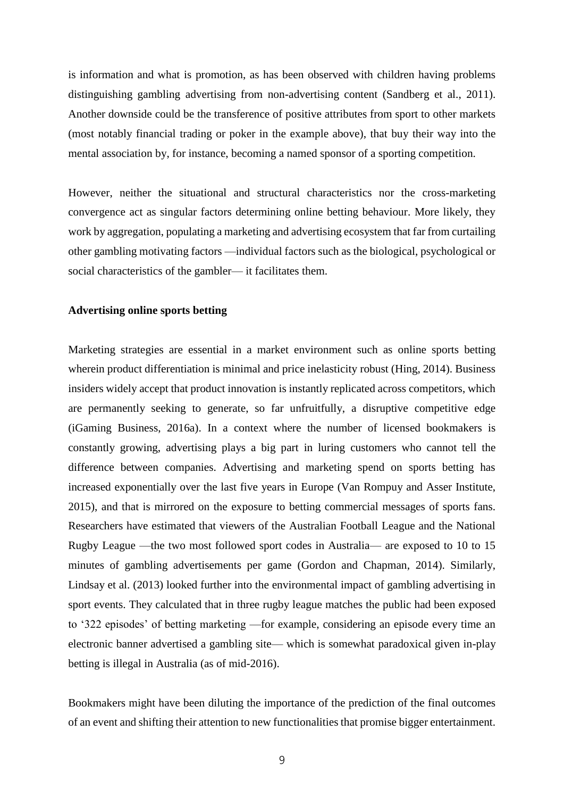is information and what is promotion, as has been observed with children having problems distinguishing gambling advertising from non-advertising content (Sandberg et al., 2011). Another downside could be the transference of positive attributes from sport to other markets (most notably financial trading or poker in the example above), that buy their way into the mental association by, for instance, becoming a named sponsor of a sporting competition.

However, neither the situational and structural characteristics nor the cross-marketing convergence act as singular factors determining online betting behaviour. More likely, they work by aggregation, populating a marketing and advertising ecosystem that far from curtailing other gambling motivating factors —individual factors such as the biological, psychological or social characteristics of the gambler— it facilitates them.

## **Advertising online sports betting**

Marketing strategies are essential in a market environment such as online sports betting wherein product differentiation is minimal and price inelasticity robust (Hing, 2014). Business insiders widely accept that product innovation is instantly replicated across competitors, which are permanently seeking to generate, so far unfruitfully, a disruptive competitive edge (iGaming Business, 2016a). In a context where the number of licensed bookmakers is constantly growing, advertising plays a big part in luring customers who cannot tell the difference between companies. Advertising and marketing spend on sports betting has increased exponentially over the last five years in Europe (Van Rompuy and Asser Institute, 2015), and that is mirrored on the exposure to betting commercial messages of sports fans. Researchers have estimated that viewers of the Australian Football League and the National Rugby League —the two most followed sport codes in Australia— are exposed to 10 to 15 minutes of gambling advertisements per game (Gordon and Chapman, 2014). Similarly, Lindsay et al. (2013) looked further into the environmental impact of gambling advertising in sport events. They calculated that in three rugby league matches the public had been exposed to '322 episodes' of betting marketing —for example, considering an episode every time an electronic banner advertised a gambling site— which is somewhat paradoxical given in-play betting is illegal in Australia (as of mid-2016).

Bookmakers might have been diluting the importance of the prediction of the final outcomes of an event and shifting their attention to new functionalities that promise bigger entertainment.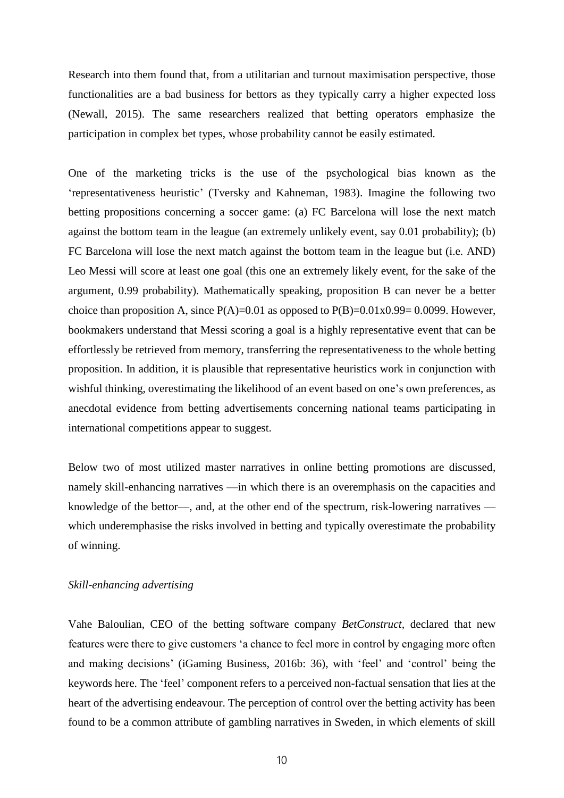Research into them found that, from a utilitarian and turnout maximisation perspective, those functionalities are a bad business for bettors as they typically carry a higher expected loss (Newall, 2015). The same researchers realized that betting operators emphasize the participation in complex bet types, whose probability cannot be easily estimated.

One of the marketing tricks is the use of the psychological bias known as the 'representativeness heuristic' (Tversky and Kahneman, 1983). Imagine the following two betting propositions concerning a soccer game: (a) FC Barcelona will lose the next match against the bottom team in the league (an extremely unlikely event, say 0.01 probability); (b) FC Barcelona will lose the next match against the bottom team in the league but (i.e. AND) Leo Messi will score at least one goal (this one an extremely likely event, for the sake of the argument, 0.99 probability). Mathematically speaking, proposition B can never be a better choice than proposition A, since  $P(A)=0.01$  as opposed to  $P(B)=0.01 \times 0.99 = 0.0099$ . However, bookmakers understand that Messi scoring a goal is a highly representative event that can be effortlessly be retrieved from memory, transferring the representativeness to the whole betting proposition. In addition, it is plausible that representative heuristics work in conjunction with wishful thinking, overestimating the likelihood of an event based on one's own preferences, as anecdotal evidence from betting advertisements concerning national teams participating in international competitions appear to suggest.

Below two of most utilized master narratives in online betting promotions are discussed, namely skill-enhancing narratives —in which there is an overemphasis on the capacities and knowledge of the bettor—, and, at the other end of the spectrum, risk-lowering narratives which underemphasise the risks involved in betting and typically overestimate the probability of winning.

## *Skill-enhancing advertising*

Vahe Baloulian, CEO of the betting software company *BetConstruct,* declared that new features were there to give customers 'a chance to feel more in control by engaging more often and making decisions' (iGaming Business, 2016b: 36), with 'feel' and 'control' being the keywords here. The 'feel' component refers to a perceived non-factual sensation that lies at the heart of the advertising endeavour. The perception of control over the betting activity has been found to be a common attribute of gambling narratives in Sweden, in which elements of skill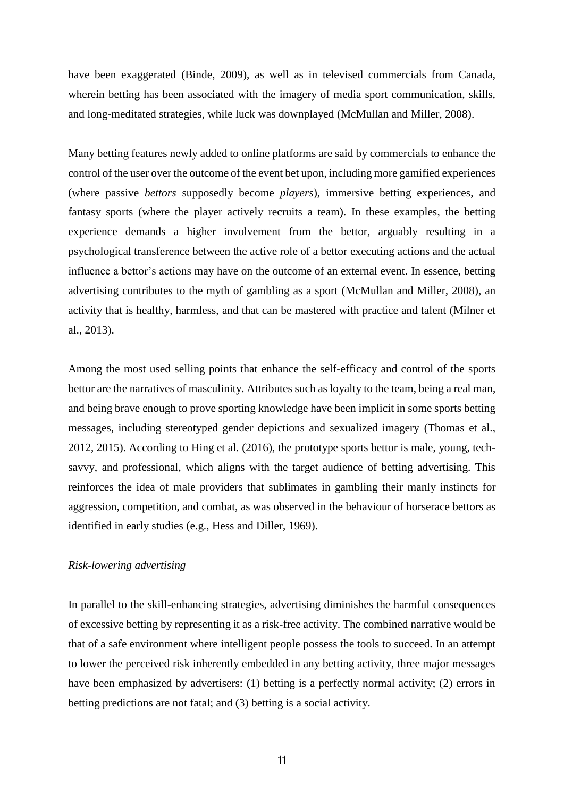have been exaggerated (Binde, 2009), as well as in televised commercials from Canada, wherein betting has been associated with the imagery of media sport communication, skills, and long-meditated strategies, while luck was downplayed (McMullan and Miller, 2008).

Many betting features newly added to online platforms are said by commercials to enhance the control of the user over the outcome of the event bet upon, including more gamified experiences (where passive *bettors* supposedly become *players*), immersive betting experiences, and fantasy sports (where the player actively recruits a team). In these examples, the betting experience demands a higher involvement from the bettor, arguably resulting in a psychological transference between the active role of a bettor executing actions and the actual influence a bettor's actions may have on the outcome of an external event. In essence, betting advertising contributes to the myth of gambling as a sport (McMullan and Miller, 2008), an activity that is healthy, harmless, and that can be mastered with practice and talent (Milner et al., 2013).

Among the most used selling points that enhance the self-efficacy and control of the sports bettor are the narratives of masculinity. Attributes such as loyalty to the team, being a real man, and being brave enough to prove sporting knowledge have been implicit in some sports betting messages, including stereotyped gender depictions and sexualized imagery (Thomas et al., 2012, 2015). According to Hing et al. (2016), the prototype sports bettor is male, young, techsavvy, and professional, which aligns with the target audience of betting advertising. This reinforces the idea of male providers that sublimates in gambling their manly instincts for aggression, competition, and combat, as was observed in the behaviour of horserace bettors as identified in early studies (e.g., Hess and Diller, 1969).

# *Risk-lowering advertising*

In parallel to the skill-enhancing strategies, advertising diminishes the harmful consequences of excessive betting by representing it as a risk-free activity. The combined narrative would be that of a safe environment where intelligent people possess the tools to succeed. In an attempt to lower the perceived risk inherently embedded in any betting activity, three major messages have been emphasized by advertisers: (1) betting is a perfectly normal activity; (2) errors in betting predictions are not fatal; and (3) betting is a social activity.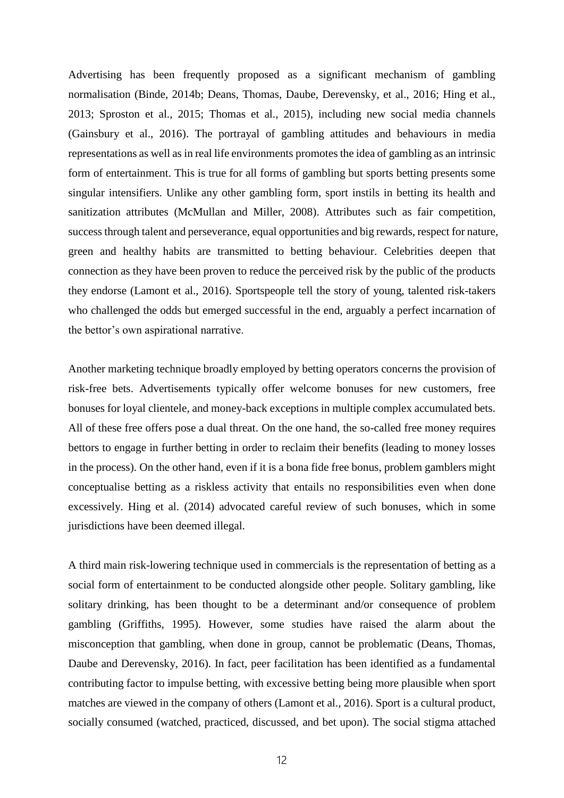Advertising has been frequently proposed as a significant mechanism of gambling normalisation (Binde, 2014b; Deans, Thomas, Daube, Derevensky, et al., 2016; Hing et al., 2013; Sproston et al., 2015; Thomas et al., 2015), including new social media channels (Gainsbury et al., 2016). The portrayal of gambling attitudes and behaviours in media representations as well as in real life environments promotes the idea of gambling as an intrinsic form of entertainment. This is true for all forms of gambling but sports betting presents some singular intensifiers. Unlike any other gambling form, sport instils in betting its health and sanitization attributes (McMullan and Miller, 2008). Attributes such as fair competition, success through talent and perseverance, equal opportunities and big rewards, respect for nature, green and healthy habits are transmitted to betting behaviour. Celebrities deepen that connection as they have been proven to reduce the perceived risk by the public of the products they endorse (Lamont et al., 2016). Sportspeople tell the story of young, talented risk-takers who challenged the odds but emerged successful in the end, arguably a perfect incarnation of the bettor's own aspirational narrative.

Another marketing technique broadly employed by betting operators concerns the provision of risk-free bets. Advertisements typically offer welcome bonuses for new customers, free bonuses for loyal clientele, and money-back exceptions in multiple complex accumulated bets. All of these free offers pose a dual threat. On the one hand, the so-called free money requires bettors to engage in further betting in order to reclaim their benefits (leading to money losses in the process). On the other hand, even if it is a bona fide free bonus, problem gamblers might conceptualise betting as a riskless activity that entails no responsibilities even when done excessively. Hing et al. (2014) advocated careful review of such bonuses, which in some jurisdictions have been deemed illegal.

A third main risk-lowering technique used in commercials is the representation of betting as a social form of entertainment to be conducted alongside other people. Solitary gambling, like solitary drinking, has been thought to be a determinant and/or consequence of problem gambling (Griffiths, 1995). However, some studies have raised the alarm about the misconception that gambling, when done in group, cannot be problematic (Deans, Thomas, Daube and Derevensky, 2016). In fact, peer facilitation has been identified as a fundamental contributing factor to impulse betting, with excessive betting being more plausible when sport matches are viewed in the company of others (Lamont et al., 2016). Sport is a cultural product, socially consumed (watched, practiced, discussed, and bet upon). The social stigma attached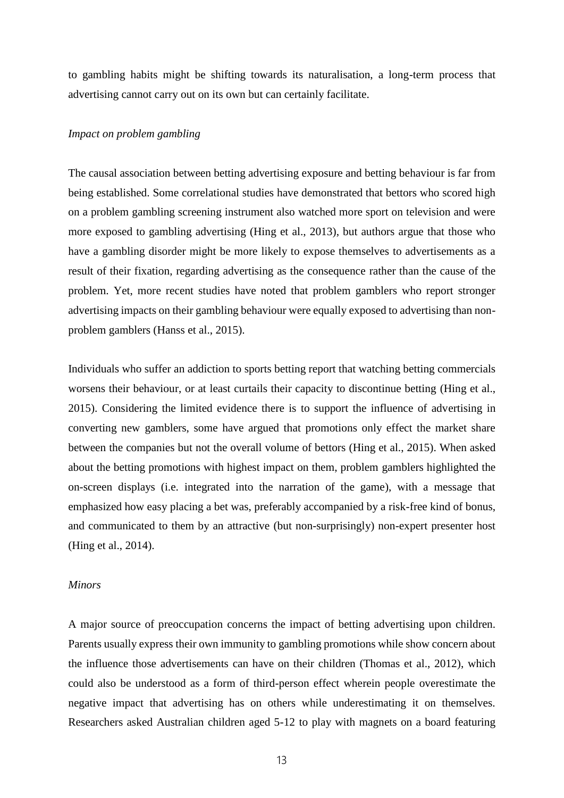to gambling habits might be shifting towards its naturalisation, a long-term process that advertising cannot carry out on its own but can certainly facilitate.

### *Impact on problem gambling*

The causal association between betting advertising exposure and betting behaviour is far from being established. Some correlational studies have demonstrated that bettors who scored high on a problem gambling screening instrument also watched more sport on television and were more exposed to gambling advertising (Hing et al., 2013), but authors argue that those who have a gambling disorder might be more likely to expose themselves to advertisements as a result of their fixation, regarding advertising as the consequence rather than the cause of the problem. Yet, more recent studies have noted that problem gamblers who report stronger advertising impacts on their gambling behaviour were equally exposed to advertising than nonproblem gamblers (Hanss et al., 2015).

Individuals who suffer an addiction to sports betting report that watching betting commercials worsens their behaviour, or at least curtails their capacity to discontinue betting (Hing et al., 2015). Considering the limited evidence there is to support the influence of advertising in converting new gamblers, some have argued that promotions only effect the market share between the companies but not the overall volume of bettors (Hing et al., 2015). When asked about the betting promotions with highest impact on them, problem gamblers highlighted the on-screen displays (i.e. integrated into the narration of the game), with a message that emphasized how easy placing a bet was, preferably accompanied by a risk-free kind of bonus, and communicated to them by an attractive (but non-surprisingly) non-expert presenter host (Hing et al., 2014).

### *Minors*

A major source of preoccupation concerns the impact of betting advertising upon children. Parents usually express their own immunity to gambling promotions while show concern about the influence those advertisements can have on their children (Thomas et al., 2012), which could also be understood as a form of third-person effect wherein people overestimate the negative impact that advertising has on others while underestimating it on themselves. Researchers asked Australian children aged 5-12 to play with magnets on a board featuring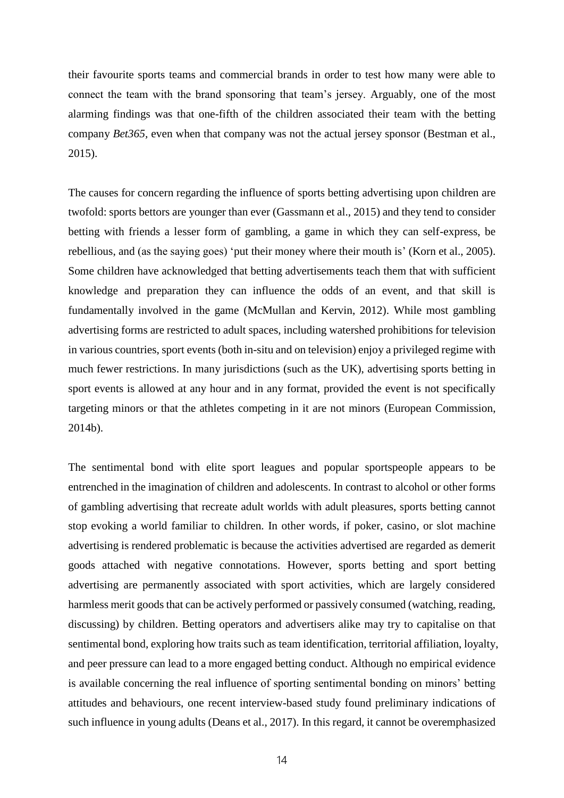their favourite sports teams and commercial brands in order to test how many were able to connect the team with the brand sponsoring that team's jersey. Arguably, one of the most alarming findings was that one-fifth of the children associated their team with the betting company *Bet365,* even when that company was not the actual jersey sponsor (Bestman et al., 2015).

The causes for concern regarding the influence of sports betting advertising upon children are twofold: sports bettors are younger than ever (Gassmann et al., 2015) and they tend to consider betting with friends a lesser form of gambling, a game in which they can self-express, be rebellious, and (as the saying goes) 'put their money where their mouth is' (Korn et al., 2005). Some children have acknowledged that betting advertisements teach them that with sufficient knowledge and preparation they can influence the odds of an event, and that skill is fundamentally involved in the game (McMullan and Kervin, 2012). While most gambling advertising forms are restricted to adult spaces, including watershed prohibitions for television in various countries, sport events (both in-situ and on television) enjoy a privileged regime with much fewer restrictions. In many jurisdictions (such as the UK), advertising sports betting in sport events is allowed at any hour and in any format, provided the event is not specifically targeting minors or that the athletes competing in it are not minors (European Commission, 2014b).

The sentimental bond with elite sport leagues and popular sportspeople appears to be entrenched in the imagination of children and adolescents. In contrast to alcohol or other forms of gambling advertising that recreate adult worlds with adult pleasures, sports betting cannot stop evoking a world familiar to children. In other words, if poker, casino, or slot machine advertising is rendered problematic is because the activities advertised are regarded as demerit goods attached with negative connotations. However, sports betting and sport betting advertising are permanently associated with sport activities, which are largely considered harmless merit goods that can be actively performed or passively consumed (watching, reading, discussing) by children. Betting operators and advertisers alike may try to capitalise on that sentimental bond, exploring how traits such as team identification, territorial affiliation, loyalty, and peer pressure can lead to a more engaged betting conduct. Although no empirical evidence is available concerning the real influence of sporting sentimental bonding on minors' betting attitudes and behaviours, one recent interview-based study found preliminary indications of such influence in young adults (Deans et al., 2017). In this regard, it cannot be overemphasized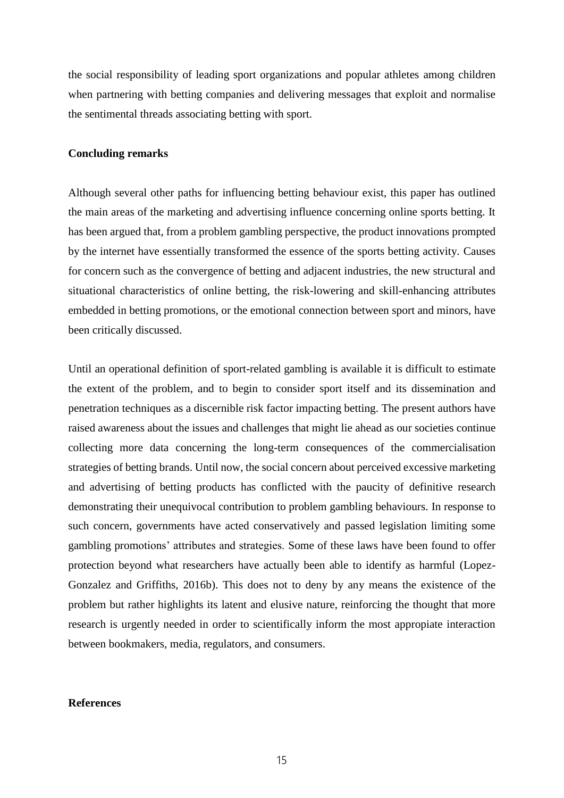the social responsibility of leading sport organizations and popular athletes among children when partnering with betting companies and delivering messages that exploit and normalise the sentimental threads associating betting with sport.

### **Concluding remarks**

Although several other paths for influencing betting behaviour exist, this paper has outlined the main areas of the marketing and advertising influence concerning online sports betting. It has been argued that, from a problem gambling perspective, the product innovations prompted by the internet have essentially transformed the essence of the sports betting activity. Causes for concern such as the convergence of betting and adjacent industries, the new structural and situational characteristics of online betting, the risk-lowering and skill-enhancing attributes embedded in betting promotions, or the emotional connection between sport and minors, have been critically discussed.

Until an operational definition of sport-related gambling is available it is difficult to estimate the extent of the problem, and to begin to consider sport itself and its dissemination and penetration techniques as a discernible risk factor impacting betting. The present authors have raised awareness about the issues and challenges that might lie ahead as our societies continue collecting more data concerning the long-term consequences of the commercialisation strategies of betting brands. Until now, the social concern about perceived excessive marketing and advertising of betting products has conflicted with the paucity of definitive research demonstrating their unequivocal contribution to problem gambling behaviours. In response to such concern, governments have acted conservatively and passed legislation limiting some gambling promotions' attributes and strategies. Some of these laws have been found to offer protection beyond what researchers have actually been able to identify as harmful (Lopez-Gonzalez and Griffiths, 2016b). This does not to deny by any means the existence of the problem but rather highlights its latent and elusive nature, reinforcing the thought that more research is urgently needed in order to scientifically inform the most appropiate interaction between bookmakers, media, regulators, and consumers.

# **References**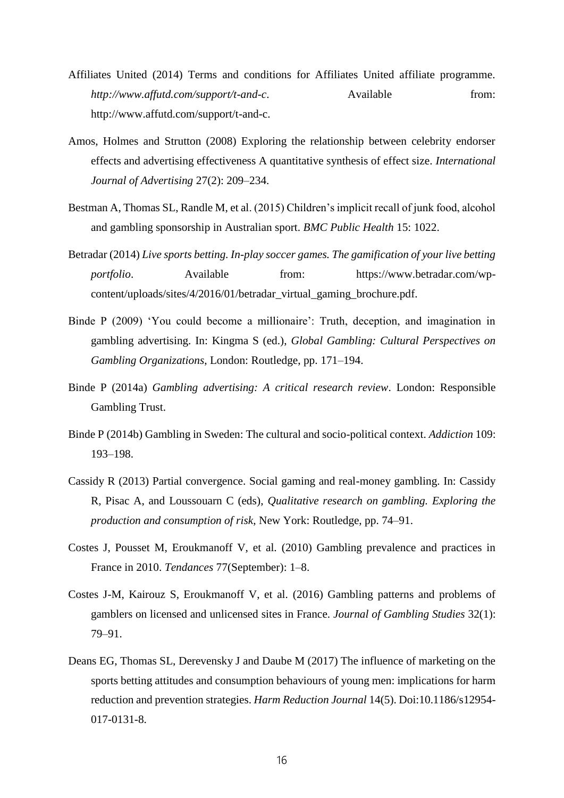- Affiliates United (2014) Terms and conditions for Affiliates United affiliate programme. *http://www.affutd.com/support/t-and-c*. Available from: http://www.affutd.com/support/t-and-c.
- Amos, Holmes and Strutton (2008) Exploring the relationship between celebrity endorser effects and advertising effectiveness A quantitative synthesis of effect size. *International Journal of Advertising* 27(2): 209–234.
- Bestman A, Thomas SL, Randle M, et al. (2015) Children's implicit recall of junk food, alcohol and gambling sponsorship in Australian sport. *BMC Public Health* 15: 1022.
- Betradar (2014) *Live sports betting. In-play soccer games. The gamification of your live betting portfolio*. Available from: https://www.betradar.com/wpcontent/uploads/sites/4/2016/01/betradar\_virtual\_gaming\_brochure.pdf.
- Binde P (2009) 'You could become a millionaire': Truth, deception, and imagination in gambling advertising. In: Kingma S (ed.), *Global Gambling: Cultural Perspectives on Gambling Organizations*, London: Routledge, pp. 171–194.
- Binde P (2014a) *Gambling advertising: A critical research review*. London: Responsible Gambling Trust.
- Binde P (2014b) Gambling in Sweden: The cultural and socio-political context. *Addiction* 109: 193–198.
- Cassidy R (2013) Partial convergence. Social gaming and real-money gambling. In: Cassidy R, Pisac A, and Loussouarn C (eds), *Qualitative research on gambling. Exploring the production and consumption of risk*, New York: Routledge, pp. 74–91.
- Costes J, Pousset M, Eroukmanoff V, et al. (2010) Gambling prevalence and practices in France in 2010. *Tendances* 77(September): 1–8.
- Costes J-M, Kairouz S, Eroukmanoff V, et al. (2016) Gambling patterns and problems of gamblers on licensed and unlicensed sites in France. *Journal of Gambling Studies* 32(1): 79–91.
- Deans EG, Thomas SL, Derevensky J and Daube M (2017) The influence of marketing on the sports betting attitudes and consumption behaviours of young men: implications for harm reduction and prevention strategies. *Harm Reduction Journal* 14(5). Doi:10.1186/s12954- 017-0131-8.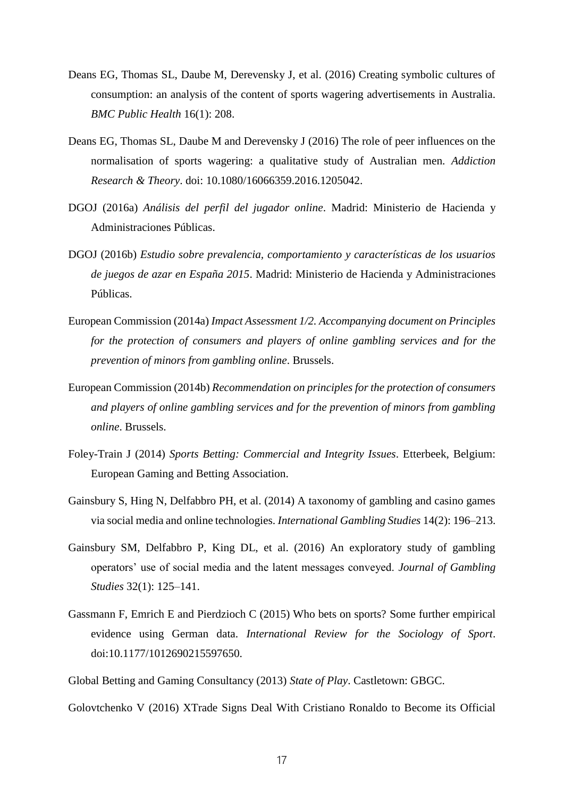- Deans EG, Thomas SL, Daube M, Derevensky J, et al. (2016) Creating symbolic cultures of consumption: an analysis of the content of sports wagering advertisements in Australia. *BMC Public Health* 16(1): 208.
- Deans EG, Thomas SL, Daube M and Derevensky J (2016) The role of peer influences on the normalisation of sports wagering: a qualitative study of Australian men. *Addiction Research & Theory*. doi: 10.1080/16066359.2016.1205042.
- DGOJ (2016a) *Análisis del perfil del jugador online*. Madrid: Ministerio de Hacienda y Administraciones Públicas.
- DGOJ (2016b) *Estudio sobre prevalencia, comportamiento y características de los usuarios de juegos de azar en España 2015*. Madrid: Ministerio de Hacienda y Administraciones Públicas.
- European Commission (2014a) *Impact Assessment 1/2. Accompanying document on Principles for the protection of consumers and players of online gambling services and for the prevention of minors from gambling online*. Brussels.
- European Commission (2014b) *Recommendation on principles for the protection of consumers and players of online gambling services and for the prevention of minors from gambling online*. Brussels.
- Foley-Train J (2014) *Sports Betting: Commercial and Integrity Issues*. Etterbeek, Belgium: European Gaming and Betting Association.
- Gainsbury S, Hing N, Delfabbro PH, et al. (2014) A taxonomy of gambling and casino games via social media and online technologies. *International Gambling Studies* 14(2): 196–213.
- Gainsbury SM, Delfabbro P, King DL, et al. (2016) An exploratory study of gambling operators' use of social media and the latent messages conveyed. *Journal of Gambling Studies* 32(1): 125–141.
- Gassmann F, Emrich E and Pierdzioch C (2015) Who bets on sports? Some further empirical evidence using German data. *International Review for the Sociology of Sport*. doi:10.1177/1012690215597650.
- Global Betting and Gaming Consultancy (2013) *State of Play*. Castletown: GBGC.
- Golovtchenko V (2016) XTrade Signs Deal With Cristiano Ronaldo to Become its Official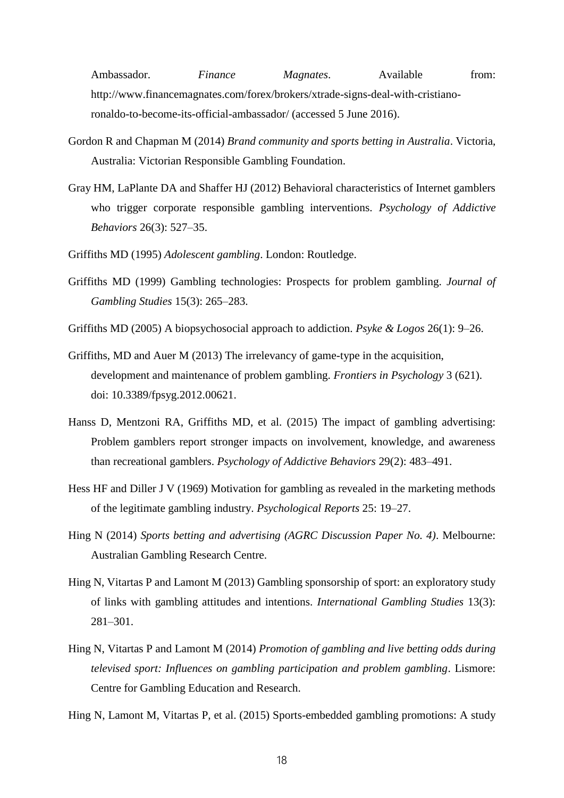Ambassador. *Finance Magnates*. Available from: http://www.financemagnates.com/forex/brokers/xtrade-signs-deal-with-cristianoronaldo-to-become-its-official-ambassador/ (accessed 5 June 2016).

- Gordon R and Chapman M (2014) *Brand community and sports betting in Australia*. Victoria, Australia: Victorian Responsible Gambling Foundation.
- Gray HM, LaPlante DA and Shaffer HJ (2012) Behavioral characteristics of Internet gamblers who trigger corporate responsible gambling interventions. *Psychology of Addictive Behaviors* 26(3): 527–35.
- Griffiths MD (1995) *Adolescent gambling*. London: Routledge.
- Griffiths MD (1999) Gambling technologies: Prospects for problem gambling. *Journal of Gambling Studies* 15(3): 265–283.
- Griffiths MD (2005) A biopsychosocial approach to addiction. *Psyke & Logos* 26(1): 9–26.
- Griffiths, MD and Auer M (2013) The irrelevancy of game-type in the acquisition, development and maintenance of problem gambling. *Frontiers in Psychology* 3 (621). doi: 10.3389/fpsyg.2012.00621.
- Hanss D, Mentzoni RA, Griffiths MD, et al. (2015) The impact of gambling advertising: Problem gamblers report stronger impacts on involvement, knowledge, and awareness than recreational gamblers. *Psychology of Addictive Behaviors* 29(2): 483–491.
- Hess HF and Diller J V (1969) Motivation for gambling as revealed in the marketing methods of the legitimate gambling industry. *Psychological Reports* 25: 19–27.
- Hing N (2014) *Sports betting and advertising (AGRC Discussion Paper No. 4)*. Melbourne: Australian Gambling Research Centre.
- Hing N, Vitartas P and Lamont M (2013) Gambling sponsorship of sport: an exploratory study of links with gambling attitudes and intentions. *International Gambling Studies* 13(3): 281–301.
- Hing N, Vitartas P and Lamont M (2014) *Promotion of gambling and live betting odds during televised sport: Influences on gambling participation and problem gambling*. Lismore: Centre for Gambling Education and Research.
- Hing N, Lamont M, Vitartas P, et al. (2015) Sports-embedded gambling promotions: A study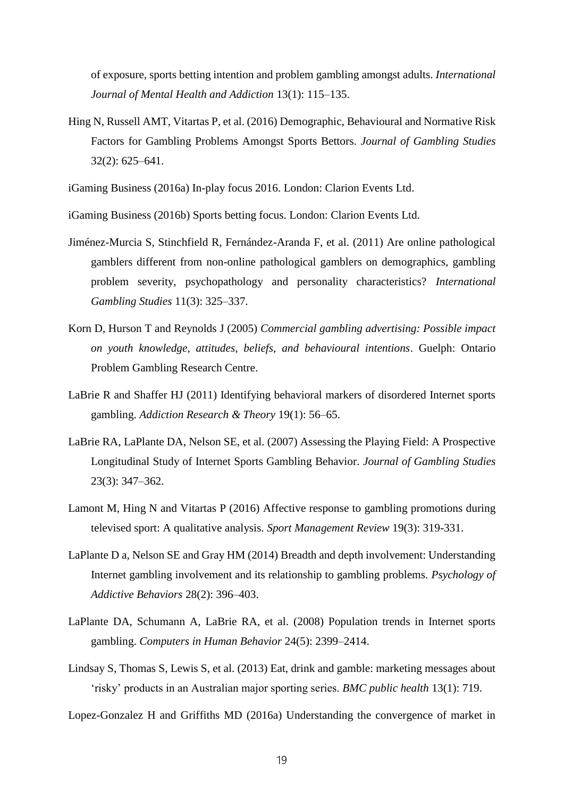of exposure, sports betting intention and problem gambling amongst adults. *International Journal of Mental Health and Addiction* 13(1): 115–135.

Hing N, Russell AMT, Vitartas P, et al. (2016) Demographic, Behavioural and Normative Risk Factors for Gambling Problems Amongst Sports Bettors. *Journal of Gambling Studies* 32(2): 625–641.

iGaming Business (2016a) In-play focus 2016. London: Clarion Events Ltd.

iGaming Business (2016b) Sports betting focus. London: Clarion Events Ltd.

- Jiménez-Murcia S, Stinchfield R, Fernández-Aranda F, et al. (2011) Are online pathological gamblers different from non-online pathological gamblers on demographics, gambling problem severity, psychopathology and personality characteristics? *International Gambling Studies* 11(3): 325–337.
- Korn D, Hurson T and Reynolds J (2005) *Commercial gambling advertising: Possible impact on youth knowledge, attitudes, beliefs, and behavioural intentions*. Guelph: Ontario Problem Gambling Research Centre.
- LaBrie R and Shaffer HJ (2011) Identifying behavioral markers of disordered Internet sports gambling. *Addiction Research & Theory* 19(1): 56–65.
- LaBrie RA, LaPlante DA, Nelson SE, et al. (2007) Assessing the Playing Field: A Prospective Longitudinal Study of Internet Sports Gambling Behavior. *Journal of Gambling Studies* 23(3): 347–362.
- Lamont M, Hing N and Vitartas P (2016) Affective response to gambling promotions during televised sport: A qualitative analysis. *Sport Management Review* 19(3): 319-331.
- LaPlante D a, Nelson SE and Gray HM (2014) Breadth and depth involvement: Understanding Internet gambling involvement and its relationship to gambling problems. *Psychology of Addictive Behaviors* 28(2): 396–403.
- LaPlante DA, Schumann A, LaBrie RA, et al. (2008) Population trends in Internet sports gambling. *Computers in Human Behavior* 24(5): 2399–2414.
- Lindsay S, Thomas S, Lewis S, et al. (2013) Eat, drink and gamble: marketing messages about 'risky' products in an Australian major sporting series. *BMC public health* 13(1): 719.

Lopez-Gonzalez H and Griffiths MD (2016a) Understanding the convergence of market in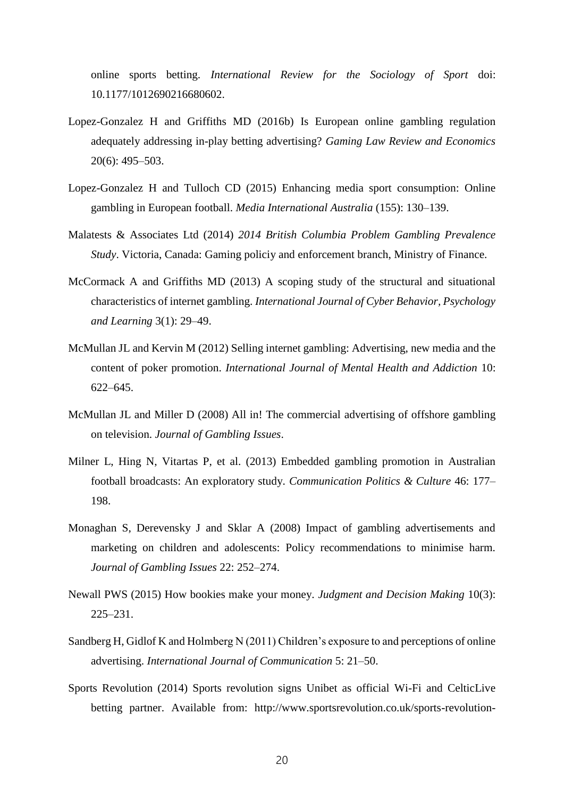online sports betting. *International Review for the Sociology of Sport* doi: 10.1177/1012690216680602.

- Lopez-Gonzalez H and Griffiths MD (2016b) Is European online gambling regulation adequately addressing in-play betting advertising? *Gaming Law Review and Economics* 20(6): 495–503.
- Lopez-Gonzalez H and Tulloch CD (2015) Enhancing media sport consumption: Online gambling in European football. *Media International Australia* (155): 130–139.
- Malatests & Associates Ltd (2014) *2014 British Columbia Problem Gambling Prevalence Study*. Victoria, Canada: Gaming policiy and enforcement branch, Ministry of Finance.
- McCormack A and Griffiths MD (2013) A scoping study of the structural and situational characteristics of internet gambling. *International Journal of Cyber Behavior, Psychology and Learning* 3(1): 29–49.
- McMullan JL and Kervin M (2012) Selling internet gambling: Advertising, new media and the content of poker promotion. *International Journal of Mental Health and Addiction* 10: 622–645.
- McMullan JL and Miller D (2008) All in! The commercial advertising of offshore gambling on television. *Journal of Gambling Issues*.
- Milner L, Hing N, Vitartas P, et al. (2013) Embedded gambling promotion in Australian football broadcasts: An exploratory study. *Communication Politics & Culture* 46: 177– 198.
- Monaghan S, Derevensky J and Sklar A (2008) Impact of gambling advertisements and marketing on children and adolescents: Policy recommendations to minimise harm. *Journal of Gambling Issues* 22: 252–274.
- Newall PWS (2015) How bookies make your money. *Judgment and Decision Making* 10(3): 225–231.
- Sandberg H, Gidlof K and Holmberg N (2011) Children's exposure to and perceptions of online advertising. *International Journal of Communication* 5: 21–50.
- Sports Revolution (2014) Sports revolution signs Unibet as official Wi-Fi and CelticLive betting partner. Available from: http://www.sportsrevolution.co.uk/sports-revolution-